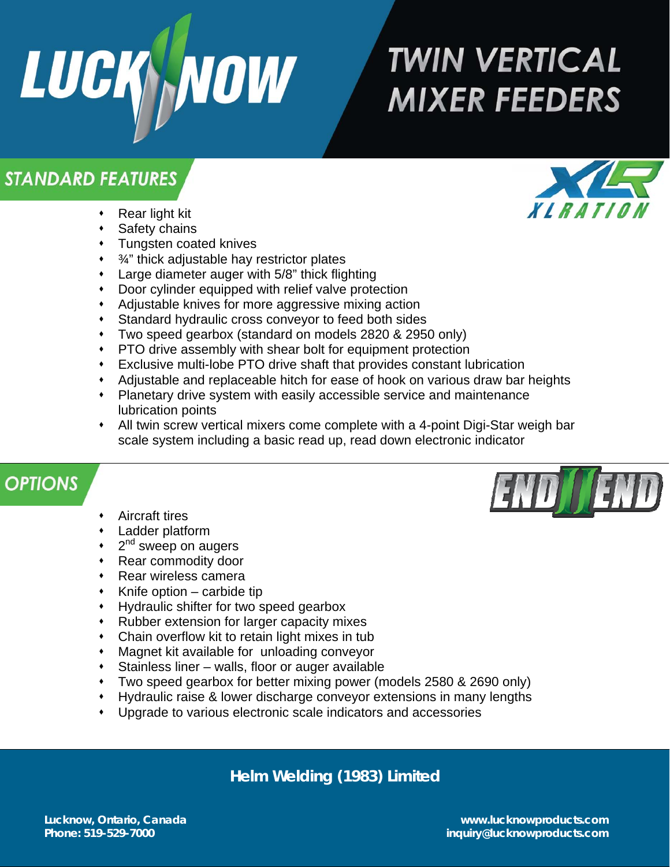

# **TWIN VERTICAL MIXER FEEDERS**

## **STANDARD FEATURES**

- Rear light kit
- Safety chains
- Tungsten coated knives
- $\cdot$   $\frac{3}{4}$ " thick adjustable hay restrictor plates
- Large diameter auger with 5/8" thick flighting
- Door cylinder equipped with relief valve protection
- Adjustable knives for more aggressive mixing action
- Standard hydraulic cross conveyor to feed both sides
- Two speed gearbox (standard on models 2820 & 2950 only)
- PTO drive assembly with shear bolt for equipment protection
- Exclusive multi-lobe PTO drive shaft that provides constant lubrication
- Adjustable and replaceable hitch for ease of hook on various draw bar heights
- Planetary drive system with easily accessible service and maintenance lubrication points
- All twin screw vertical mixers come complete with a 4-point Digi-Star weigh bar scale system including a basic read up, read down electronic indicator

## **OPTIONS**

- Aircraft tires
- Ladder platform
- 2<sup>nd</sup> sweep on augers
- Rear commodity door
- Rear wireless camera
- $\cdot$  Knife option carbide tip
- Hydraulic shifter for two speed gearbox
- Rubber extension for larger capacity mixes
- Chain overflow kit to retain light mixes in tub
- Magnet kit available for unloading conveyor
- Stainless liner walls, floor or auger available
- Two speed gearbox for better mixing power (models 2580 & 2690 only)
- Hydraulic raise & lower discharge conveyor extensions in many lengths
- Upgrade to various electronic scale indicators and accessories

**Helm Welding (1983) Limited** 





**Lucknow, Ontario, Canada www.lucknowproducts.com Phone: 519-529-7000 inquiry@lucknowproducts.com**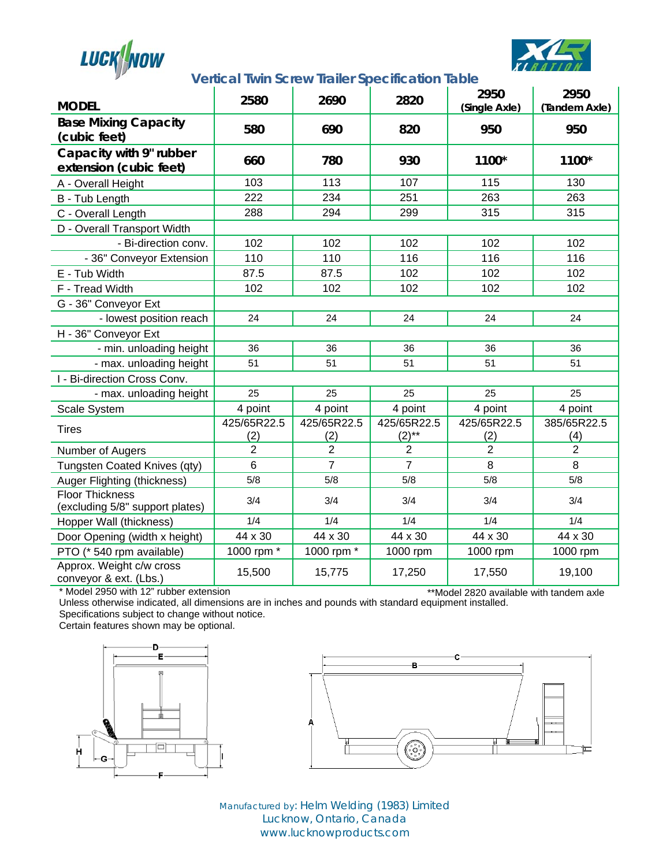



### **Vertical Twin Screw Trailer Specification Table**

| <b>MODEL</b>                                              | 2580               | 2690               | 2820                    | 2950<br>(Single Axle) | 2950<br>(Tandem Axle) |
|-----------------------------------------------------------|--------------------|--------------------|-------------------------|-----------------------|-----------------------|
| <b>Base Mixing Capacity</b><br>(cubic feet)               | 580                | 690                | 820                     | 950                   | 950                   |
| Capacity with 9" rubber<br>extension (cubic feet)         | 660                | 780                | 930                     | 1100*                 | 1100*                 |
| A - Overall Height                                        | 103                | 113                | 107                     | 115                   | 130                   |
| B - Tub Length                                            | 222                | 234                | 251                     | 263                   | 263                   |
| C - Overall Length                                        | 288                | 294                | 299                     | 315                   | 315                   |
| D - Overall Transport Width                               |                    |                    |                         |                       |                       |
| - Bi-direction conv.                                      | 102                | 102                | 102                     | 102                   | 102                   |
| - 36" Conveyor Extension                                  | 110                | 110                | 116                     | 116                   | 116                   |
| E - Tub Width                                             | 87.5               | 87.5               | 102                     | 102                   | 102                   |
| F - Tread Width                                           | 102                | 102                | 102                     | 102                   | 102                   |
| G - 36" Conveyor Ext                                      |                    |                    |                         |                       |                       |
| - lowest position reach                                   | 24                 | 24                 | 24                      | 24                    | 24                    |
| H - 36" Conveyor Ext                                      |                    |                    |                         |                       |                       |
| - min. unloading height                                   | 36                 | 36                 | 36                      | 36                    | 36                    |
| - max. unloading height                                   | 51                 | 51                 | 51                      | 51                    | 51                    |
| I - Bi-direction Cross Conv.                              |                    |                    |                         |                       |                       |
| - max. unloading height                                   | 25                 | 25                 | 25                      | 25                    | 25                    |
| Scale System                                              | 4 point            | 4 point            | 4 point                 | 4 point               | 4 point               |
| <b>Tires</b>                                              | 425/65R22.5<br>(2) | 425/65R22.5<br>(2) | 425/65R22.5<br>$(2)$ ** | 425/65R22.5<br>(2)    | 385/65R22.5<br>(4)    |
| Number of Augers                                          | $\overline{2}$     | $\overline{2}$     | $\overline{2}$          | $\overline{2}$        | $\overline{2}$        |
| Tungsten Coated Knives (qty)                              | 6                  | $\overline{7}$     | $\overline{7}$          | 8                     | 8                     |
| Auger Flighting (thickness)                               | 5/8                | 5/8                | 5/8                     | 5/8                   | 5/8                   |
| <b>Floor Thickness</b><br>(excluding 5/8" support plates) | 3/4                | 3/4                | 3/4                     | 3/4                   | 3/4                   |
| Hopper Wall (thickness)                                   | 1/4                | 1/4                | 1/4                     | 1/4                   | 1/4                   |
| Door Opening (width x height)                             | 44 x 30            | 44 x 30            | 44 x 30                 | 44 x 30               | 44 x 30               |
| PTO (* 540 rpm available)                                 | 1000 rpm *         | 1000 rpm *         | 1000 rpm                | 1000 rpm              | 1000 rpm              |
| Approx. Weight c/w cross<br>conveyor & ext. (Lbs.)        | 15,500             | 15,775             | 17,250                  | 17,550                | 19,100                |

\* Model 2950 with 12" rubber extension

\*\*Model 2820 available with tandem axle

Unless otherwise indicated, all dimensions are in inches and pounds with standard equipment installed. Specifications subject to change without notice.

Certain features shown may be optional.





Manufactured by: Helm Welding (1983) Limited Lucknow, Ontario, Canada www.lucknowproducts.com